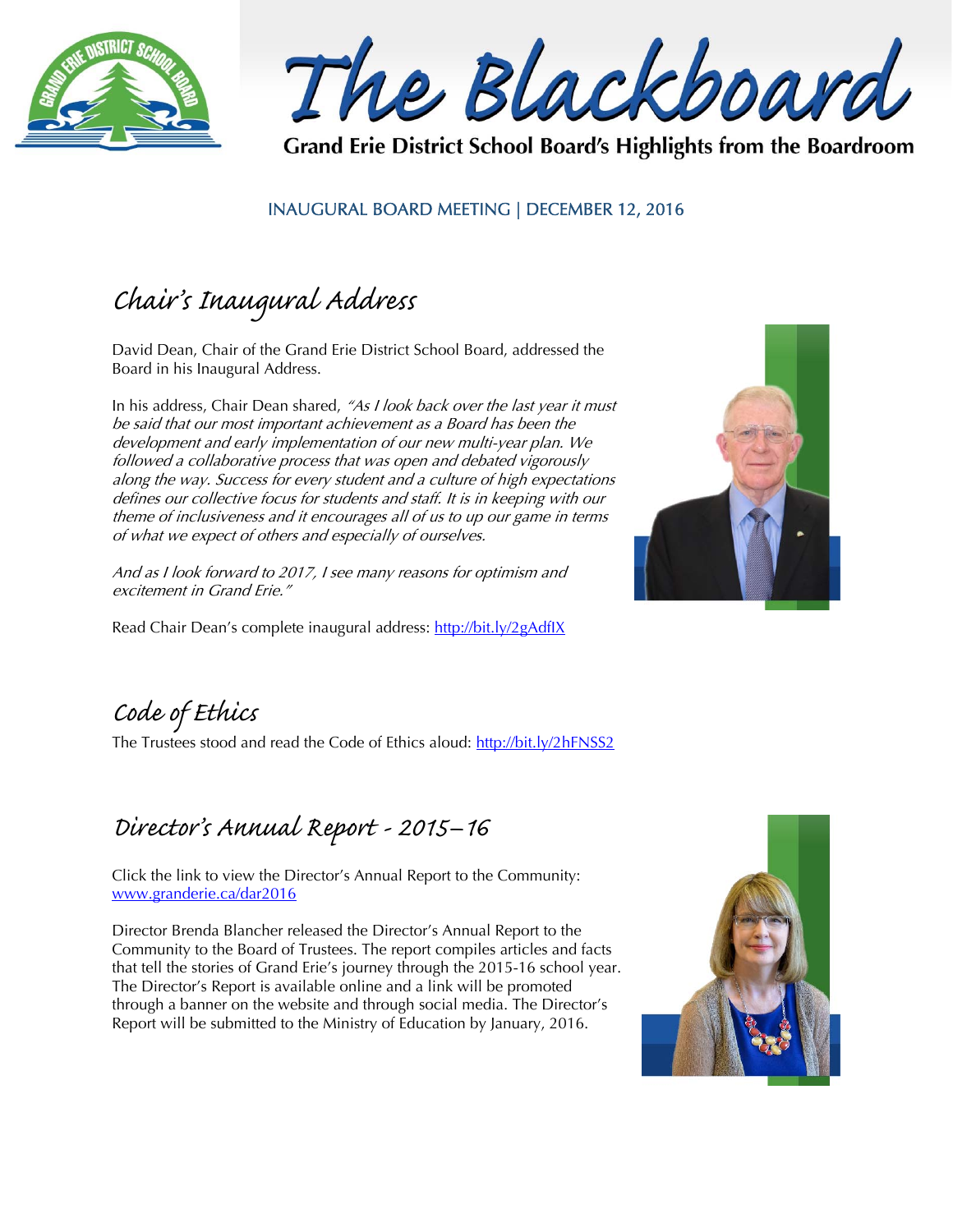

The Blackboard

Grand Erie District School Board's Highlights from the Boardroom

### INAUGURAL BOARD MEETING | DECEMBER 12, 2016

# Chair's Inaugural Address

David Dean, Chair of the Grand Erie District School Board, addressed the Board in his Inaugural Address.

In his address, Chair Dean shared, "As I look back over the last year it must be said that our most important achievement as a Board has been the development and early implementation of our new multi-year plan. We followed a collaborative process that was open and debated vigorously along the way. Success for every student and a culture of high expectations defines our collective focus for students and staff. It is in keeping with our theme of inclusiveness and it encourages all of us to up our game in terms of what we expect of others and especially of ourselves.

And as I look forward to 2017, I see many reasons for optimism and excitement in Grand Erie."

Read Chair Dean's complete inaugural address: http://bit.ly/2gAdflX



Code of Ethics

The Trustees stood and read the Code of Ethics aloud: http://bit.ly/2hFNSS2

### Director's Annual Report - 2015–16

Click the link to view the Director's Annual Report to the Community: www.granderie.ca/dar2016

Director Brenda Blancher released the Director's Annual Report to the Community to the Board of Trustees. The report compiles articles and facts that tell the stories of Grand Erie's journey through the 2015-16 school year. The Director's Report is available online and a link will be promoted through a banner on the website and through social media. The Director's Report will be submitted to the Ministry of Education by January, 2016.

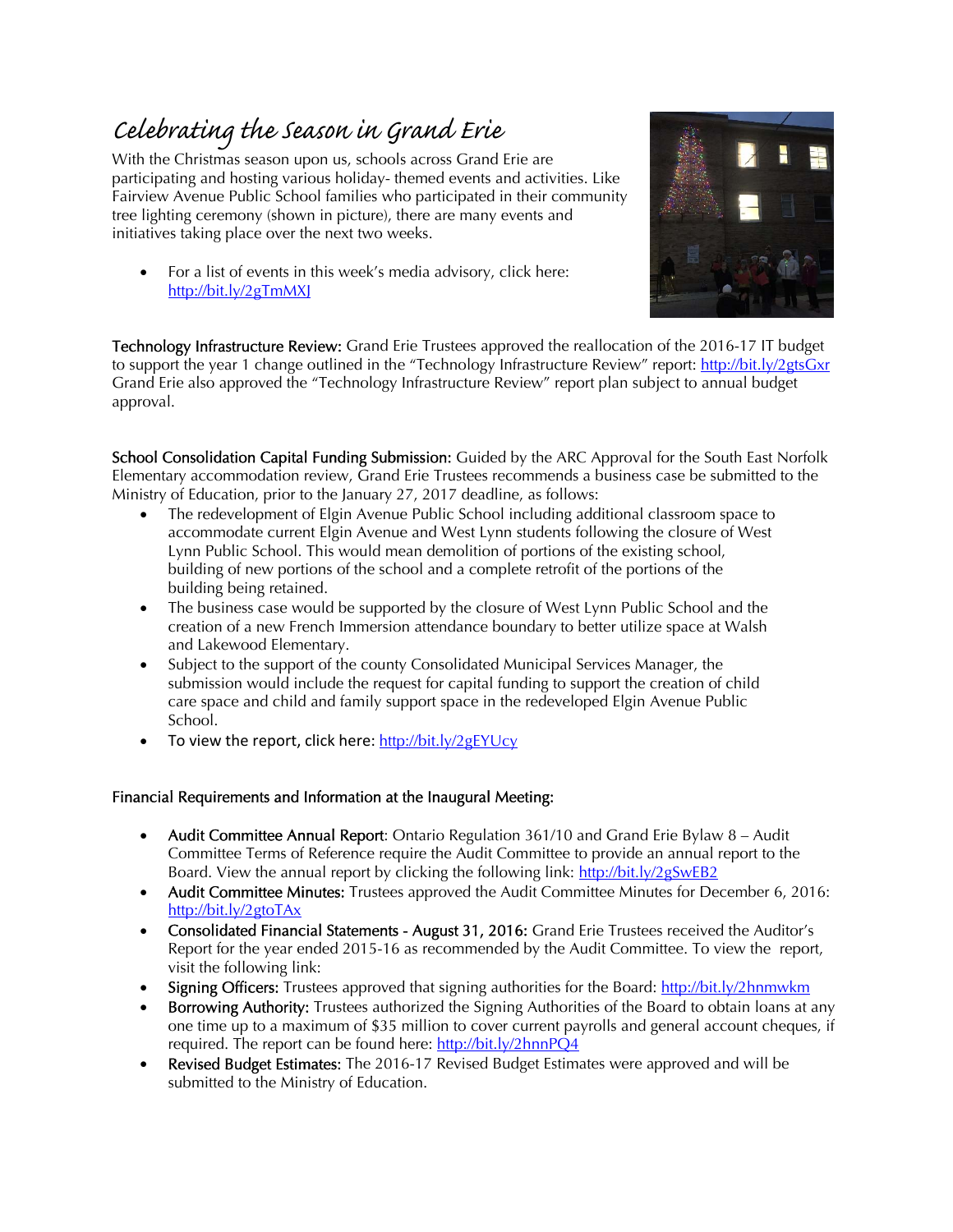## Celebrating the Season in Grand Erie

With the Christmas season upon us, schools across Grand Erie are participating and hosting various holiday- themed events and activities. Like Fairview Avenue Public School families who participated in their community tree lighting ceremony (shown in picture), there are many events and initiatives taking place over the next two weeks.

 For a list of events in this week's media advisory, click here: http://bit.ly/2gTmMXJ



Technology Infrastructure Review: Grand Erie Trustees approved the reallocation of the 2016-17 IT budget to support the year 1 change outlined in the "Technology Infrastructure Review" report: http://bit.ly/2gtsGxr Grand Erie also approved the "Technology Infrastructure Review" report plan subject to annual budget approval.

School Consolidation Capital Funding Submission: Guided by the ARC Approval for the South East Norfolk Elementary accommodation review, Grand Erie Trustees recommends a business case be submitted to the Ministry of Education, prior to the January 27, 2017 deadline, as follows:

- The redevelopment of Elgin Avenue Public School including additional classroom space to accommodate current Elgin Avenue and West Lynn students following the closure of West Lynn Public School. This would mean demolition of portions of the existing school, building of new portions of the school and a complete retrofit of the portions of the building being retained.
- The business case would be supported by the closure of West Lynn Public School and the creation of a new French Immersion attendance boundary to better utilize space at Walsh and Lakewood Elementary.
- Subject to the support of the county Consolidated Municipal Services Manager, the submission would include the request for capital funding to support the creation of child care space and child and family support space in the redeveloped Elgin Avenue Public School.
- To view the report, click here: http://bit.ly/2gEYUcy

#### Financial Requirements and Information at the Inaugural Meeting:

- Audit Committee Annual Report: Ontario Regulation 361/10 and Grand Erie Bylaw 8 Audit Committee Terms of Reference require the Audit Committee to provide an annual report to the Board. View the annual report by clicking the following link: http://bit.ly/2gSwEB2
- Audit Committee Minutes: Trustees approved the Audit Committee Minutes for December 6, 2016: http://bit.ly/2gtoTAx
- Consolidated Financial Statements August 31, 2016: Grand Erie Trustees received the Auditor's Report for the year ended 2015-16 as recommended by the Audit Committee. To view the report, visit the following link:
- Signing Officers: Trustees approved that signing authorities for the Board: http://bit.ly/2hnmwkm
- Borrowing Authority: Trustees authorized the Signing Authorities of the Board to obtain loans at any one time up to a maximum of \$35 million to cover current payrolls and general account cheques, if required. The report can be found here: http://bit.ly/2hnnPQ4
- Revised Budget Estimates: The 2016-17 Revised Budget Estimates were approved and will be submitted to the Ministry of Education.